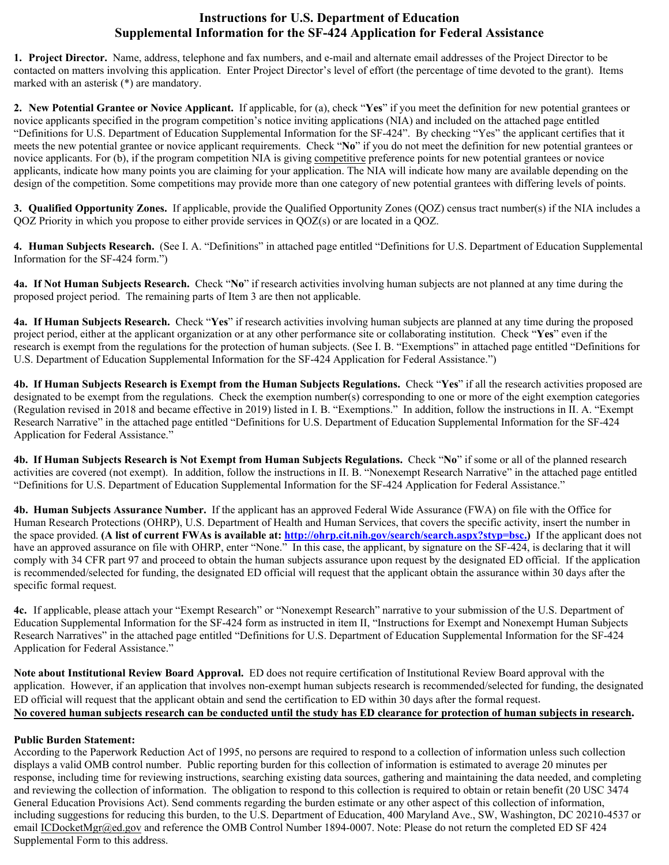# **Instructions for U.S. Department of Education Supplemental Information for the SF-424 Application for Federal Assistance**

**1. Project Director.** Name, address, telephone and fax numbers, and e-mail and alternate email addresses of the Project Director to be contacted on matters involving this application. Enter Project Director's level of effort (the percentage of time devoted to the grant). Items marked with an asterisk (\*) are mandatory.

**2. New Potential Grantee or Novice Applicant.** If applicable, for (a), check "**Yes**" if you meet the definition for new potential grantees or novice applicants specified in the program competition's notice inviting applications (NIA) and included on the attached page entitled "Definitions for U.S. Department of Education Supplemental Information for the SF-424". By checking "Yes" the applicant certifies that it meets the new potential grantee or novice applicant requirements. Check "**No**" if you do not meet the definition for new potential grantees or novice applicants. For (b), if the program competition NIA is giving competitive preference points for new potential grantees or novice applicants, indicate how many points you are claiming for your application. The NIA will indicate how many are available depending on the design of the competition. Some competitions may provide more than one category of new potential grantees with differing levels of points.

**3. Qualified Opportunity Zones.** If applicable, provide the Qualified Opportunity Zones (QOZ) census tract number(s) if the NIA includes a QOZ Priority in which you propose to either provide services in QOZ(s) or are located in a QOZ.

**4. Human Subjects Research.** (See I. A. "Definitions" in attached page entitled "Definitions for U.S. Department of Education Supplemental Information for the SF-424 form.")

**4a. If Not Human Subjects Research.** Check "**No**" if research activities involving human subjects are not planned at any time during the proposed project period. The remaining parts of Item 3 are then not applicable.

**4a. If Human Subjects Research.** Check "**Yes**" if research activities involving human subjects are planned at any time during the proposed project period, either at the applicant organization or at any other performance site or collaborating institution. Check "**Yes**" even if the research is exempt from the regulations for the protection of human subjects. (See I. B. "Exemptions" in attached page entitled "Definitions for U.S. Department of Education Supplemental Information for the SF-424 Application for Federal Assistance.")

**4b. If Human Subjects Research is Exempt from the Human Subjects Regulations.** Check "**Yes**" if all the research activities proposed are designated to be exempt from the regulations. Check the exemption number(s) corresponding to one or more of the eight exemption categories (Regulation revised in 2018 and became effective in 2019) listed in I. B. "Exemptions." In addition, follow the instructions in II. A. "Exempt Research Narrative" in the attached page entitled "Definitions for U.S. Department of Education Supplemental Information for the SF-424 Application for Federal Assistance."

**4b. If Human Subjects Research is Not Exempt from Human Subjects Regulations.** Check "**No**" if some or all of the planned research activities are covered (not exempt). In addition, follow the instructions in II. B. "Nonexempt Research Narrative" in the attached page entitled "Definitions for U.S. Department of Education Supplemental Information for the SF-424 Application for Federal Assistance."

**4b. Human Subjects Assurance Number.** If the applicant has an approved Federal Wide Assurance (FWA) on file with the Office for Human Research Protections (OHRP), U.S. Department of Health and Human Services, that covers the specific activity, insert the number in the space provided. **(A list of current FWAs is available at: [http://ohrp.cit.nih.gov/search/search.aspx?styp=bsc.](http://ohrp.cit.nih.gov/search/search.aspx?styp=bsc))** If the applicant does not have an approved assurance on file with OHRP, enter "None." In this case, the applicant, by signature on the SF-424, is declaring that it will comply with 34 CFR part 97 and proceed to obtain the human subjects assurance upon request by the designated ED official. If the application is recommended/selected for funding, the designated ED official will request that the applicant obtain the assurance within 30 days after the specific formal request.

**4c.** If applicable, please attach your "Exempt Research" or "Nonexempt Research" narrative to your submission of the U.S. Department of Education Supplemental Information for the SF-424 form as instructed in item II, "Instructions for Exempt and Nonexempt Human Subjects Research Narratives" in the attached page entitled "Definitions for U.S. Department of Education Supplemental Information for the SF-424 Application for Federal Assistance."

**Note about Institutional Review Board Approval.** ED does not require certification of Institutional Review Board approval with the application. However, if an application that involves non-exempt human subjects research is recommended/selected for funding, the designated ED official will request that the applicant obtain and send the certification to ED within 30 days after the formal request. **No covered human subjects research can be conducted until the study has ED clearance for protection of human subjects in research.**

## **Public Burden Statement:**

According to the Paperwork Reduction Act of 1995, no persons are required to respond to a collection of information unless such collection displays a valid OMB control number. Public reporting burden for this collection of information is estimated to average 20 minutes per response, including time for reviewing instructions, searching existing data sources, gathering and maintaining the data needed, and completing and reviewing the collection of information. The obligation to respond to this collection is required to obtain or retain benefit (20 USC 3474 General Education Provisions Act). Send comments regarding the burden estimate or any other aspect of this collection of information, including suggestions for reducing this burden, to the U.S. Department of Education, 400 Maryland Ave., SW, Washington, DC 20210-4537 or email [ICDocketMgr@ed.gov](mailto:ICDocketMgr@ed.gov) and reference the OMB Control Number 1894-0007. Note: Please do not return the completed ED SF 424 Supplemental Form to this address.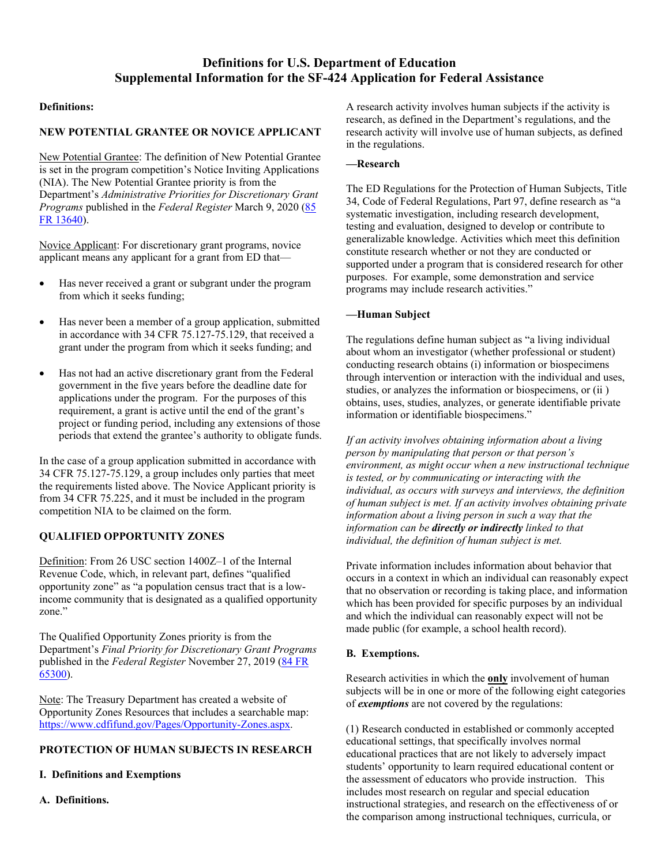## **Definitions:**

## **NEW POTENTIAL GRANTEE OR NOVICE APPLICANT**

New Potential Grantee: The definition of New Potential Grantee is set in the program competition's Notice Inviting Applications (NIA). The New Potential Grantee priority is from the Department's *Administrative Priorities for Discretionary Grant Programs* published in the *Federal Register* March 9, 2020 [\(85](https://www.federalregister.gov/d/2020-04761)  [FR 13640\)](https://www.federalregister.gov/d/2020-04761).

Novice Applicant: For discretionary grant programs, novice applicant means any applicant for a grant from ED that—

- Has never received a grant or subgrant under the program from which it seeks funding;
- Has never been a member of a group application, submitted in accordance with 34 CFR 75.127-75.129, that received a grant under the program from which it seeks funding; and
- Has not had an active discretionary grant from the Federal government in the five years before the deadline date for applications under the program. For the purposes of this requirement, a grant is active until the end of the grant's project or funding period, including any extensions of those periods that extend the grantee's authority to obligate funds.

In the case of a group application submitted in accordance with 34 CFR 75.127-75.129, a group includes only parties that meet the requirements listed above. The Novice Applicant priority is from 34 CFR 75.225, and it must be included in the program competition NIA to be claimed on the form.

## **QUALIFIED OPPORTUNITY ZONES**

Definition: From 26 USC section 1400Z–1 of the Internal Revenue Code, which, in relevant part, defines "qualified opportunity zone" as "a population census tract that is a lowincome community that is designated as a qualified opportunity zone."

The Qualified Opportunity Zones priority is from the Department's *Final Priority for Discretionary Grant Programs* published in the *Federal Register* November 27, 2019 [\(84 FR](https://www.federalregister.gov/d/2019-25819)  [65300\)](https://www.federalregister.gov/d/2019-25819).

Note: The Treasury Department has created a website of Opportunity Zones Resources that includes a searchable map: [https://www.cdfifund.gov/Pages/Opportunity-Zones.aspx.](https://www.cdfifund.gov/%E2%80%8BPages/%E2%80%8BOpportunity-Zones.aspx)

## **PROTECTION OF HUMAN SUBJECTS IN RESEARCH**

## **I. Definitions and Exemptions**

**A. Definitions.**

A research activity involves human subjects if the activity is research, as defined in the Department's regulations, and the research activity will involve use of human subjects, as defined in the regulations.

#### **—Research**

The ED Regulations for the Protection of Human Subjects, Title 34, Code of Federal Regulations, Part 97, define research as "a systematic investigation, including research development, testing and evaluation, designed to develop or contribute to generalizable knowledge. Activities which meet this definition constitute research whether or not they are conducted or supported under a program that is considered research for other purposes. For example, some demonstration and service programs may include research activities."

## **—Human Subject**

The regulations define human subject as "a living individual about whom an investigator (whether professional or student) conducting research obtains (i) information or biospecimens through intervention or interaction with the individual and uses, studies, or analyzes the information or biospecimens, or (ii ) obtains, uses, studies, analyzes, or generate identifiable private information or identifiable biospecimens."

*If an activity involves obtaining information about a living person by manipulating that person or that person's environment, as might occur when a new instructional technique is tested, or by communicating or interacting with the individual, as occurs with surveys and interviews, the definition of human subject is met. If an activity involves obtaining private information about a living person in such a way that the information can be directly or indirectly linked to that individual, the definition of human subject is met.* 

Private information includes information about behavior that occurs in a context in which an individual can reasonably expect that no observation or recording is taking place, and information which has been provided for specific purposes by an individual and which the individual can reasonably expect will not be made public (for example, a school health record).

## **B. Exemptions.**

Research activities in which the **only** involvement of human subjects will be in one or more of the following eight categories of *exemptions* are not covered by the regulations:

(1) Research conducted in established or commonly accepted educational settings, that specifically involves normal educational practices that are not likely to adversely impact students' opportunity to learn required educational content or the assessment of educators who provide instruction. This includes most research on regular and special education instructional strategies, and research on the effectiveness of or the comparison among instructional techniques, curricula, or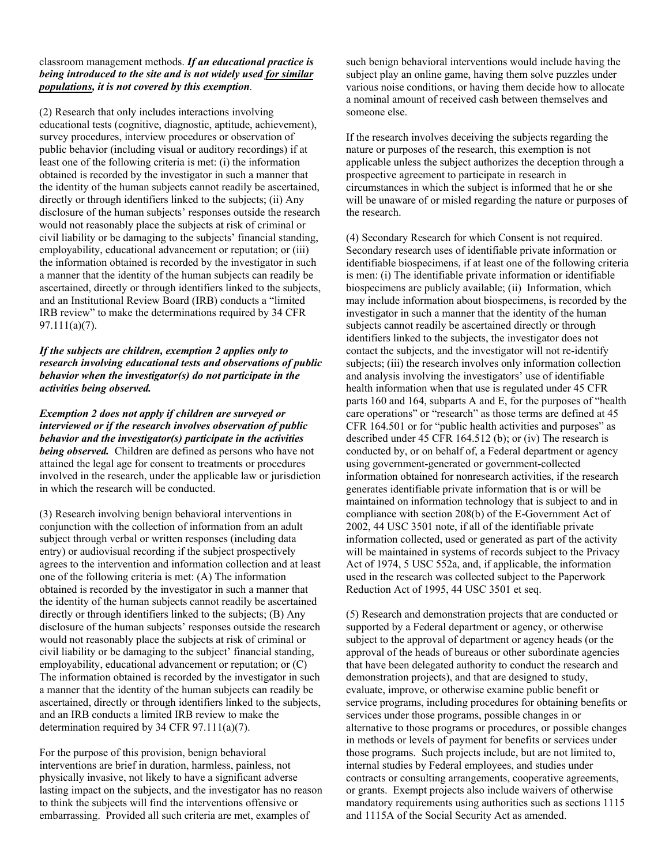#### classroom management methods. *If an educational practice is being introduced to the site and is not widely used for similar populations, it is not covered by this exemption.*

(2) Research that only includes interactions involving educational tests (cognitive, diagnostic, aptitude, achievement), survey procedures, interview procedures or observation of public behavior (including visual or auditory recordings) if at least one of the following criteria is met: (i) the information obtained is recorded by the investigator in such a manner that the identity of the human subjects cannot readily be ascertained, directly or through identifiers linked to the subjects; (ii) Any disclosure of the human subjects' responses outside the research would not reasonably place the subjects at risk of criminal or civil liability or be damaging to the subjects' financial standing, employability, educational advancement or reputation; or (iii) the information obtained is recorded by the investigator in such a manner that the identity of the human subjects can readily be ascertained, directly or through identifiers linked to the subjects, and an Institutional Review Board (IRB) conducts a "limited IRB review" to make the determinations required by 34 CFR 97.111(a)(7).

## *If the subjects are children, exemption 2 applies only to research involving educational tests and observations of public behavior when the investigator(s) do not participate in the activities being observed.*

*Exemption 2 does not apply if children are surveyed or interviewed or if the research involves observation of public behavior and the investigator(s) participate in the activities being observed.* Children are defined as persons who have not attained the legal age for consent to treatments or procedures involved in the research, under the applicable law or jurisdiction in which the research will be conducted.

(3) Research involving benign behavioral interventions in conjunction with the collection of information from an adult subject through verbal or written responses (including data entry) or audiovisual recording if the subject prospectively agrees to the intervention and information collection and at least one of the following criteria is met: (A) The information obtained is recorded by the investigator in such a manner that the identity of the human subjects cannot readily be ascertained directly or through identifiers linked to the subjects; (B) Any disclosure of the human subjects' responses outside the research would not reasonably place the subjects at risk of criminal or civil liability or be damaging to the subject' financial standing, employability, educational advancement or reputation; or (C) The information obtained is recorded by the investigator in such a manner that the identity of the human subjects can readily be ascertained, directly or through identifiers linked to the subjects, and an IRB conducts a limited IRB review to make the determination required by 34 CFR 97.111(a)(7).

For the purpose of this provision, benign behavioral interventions are brief in duration, harmless, painless, not physically invasive, not likely to have a significant adverse lasting impact on the subjects, and the investigator has no reason to think the subjects will find the interventions offensive or embarrassing. Provided all such criteria are met, examples of

such benign behavioral interventions would include having the subject play an online game, having them solve puzzles under various noise conditions, or having them decide how to allocate a nominal amount of received cash between themselves and someone else.

If the research involves deceiving the subjects regarding the nature or purposes of the research, this exemption is not applicable unless the subject authorizes the deception through a prospective agreement to participate in research in circumstances in which the subject is informed that he or she will be unaware of or misled regarding the nature or purposes of the research.

(4) Secondary Research for which Consent is not required. Secondary research uses of identifiable private information or identifiable biospecimens, if at least one of the following criteria is men: (i) The identifiable private information or identifiable biospecimens are publicly available; (ii) Information, which may include information about biospecimens, is recorded by the investigator in such a manner that the identity of the human subjects cannot readily be ascertained directly or through identifiers linked to the subjects, the investigator does not contact the subjects, and the investigator will not re-identify subjects; (iii) the research involves only information collection and analysis involving the investigators' use of identifiable health information when that use is regulated under 45 CFR parts 160 and 164, subparts A and E, for the purposes of "health care operations" or "research" as those terms are defined at 45 CFR 164.501 or for "public health activities and purposes" as described under 45 CFR 164.512 (b); or (iv) The research is conducted by, or on behalf of, a Federal department or agency using government-generated or government-collected information obtained for nonresearch activities, if the research generates identifiable private information that is or will be maintained on information technology that is subject to and in compliance with section 208(b) of the E-Government Act of 2002, 44 USC 3501 note, if all of the identifiable private information collected, used or generated as part of the activity will be maintained in systems of records subject to the Privacy Act of 1974, 5 USC 552a, and, if applicable, the information used in the research was collected subject to the Paperwork Reduction Act of 1995, 44 USC 3501 et seq.

(5) Research and demonstration projects that are conducted or supported by a Federal department or agency, or otherwise subject to the approval of department or agency heads (or the approval of the heads of bureaus or other subordinate agencies that have been delegated authority to conduct the research and demonstration projects), and that are designed to study, evaluate, improve, or otherwise examine public benefit or service programs, including procedures for obtaining benefits or services under those programs, possible changes in or alternative to those programs or procedures, or possible changes in methods or levels of payment for benefits or services under those programs. Such projects include, but are not limited to, internal studies by Federal employees, and studies under contracts or consulting arrangements, cooperative agreements, or grants. Exempt projects also include waivers of otherwise mandatory requirements using authorities such as sections 1115 and 1115A of the Social Security Act as amended.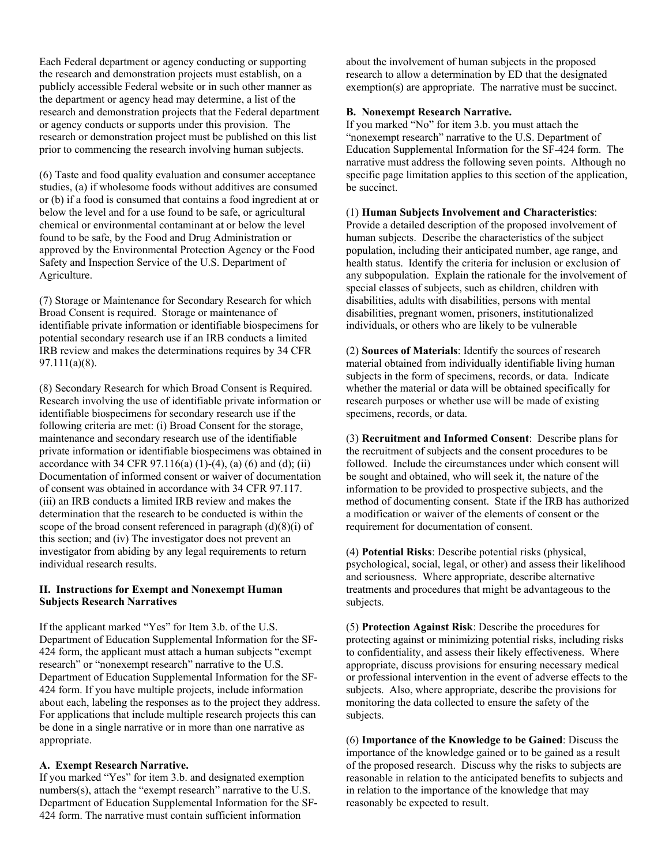Each Federal department or agency conducting or supporting the research and demonstration projects must establish, on a publicly accessible Federal website or in such other manner as the department or agency head may determine, a list of the research and demonstration projects that the Federal department or agency conducts or supports under this provision. The research or demonstration project must be published on this list prior to commencing the research involving human subjects.

(6) Taste and food quality evaluation and consumer acceptance studies, (a) if wholesome foods without additives are consumed or (b) if a food is consumed that contains a food ingredient at or below the level and for a use found to be safe, or agricultural chemical or environmental contaminant at or below the level found to be safe, by the Food and Drug Administration or approved by the Environmental Protection Agency or the Food Safety and Inspection Service of the U.S. Department of Agriculture.

(7) Storage or Maintenance for Secondary Research for which Broad Consent is required. Storage or maintenance of identifiable private information or identifiable biospecimens for potential secondary research use if an IRB conducts a limited IRB review and makes the determinations requires by 34 CFR 97.111(a)(8).

(8) Secondary Research for which Broad Consent is Required. Research involving the use of identifiable private information or identifiable biospecimens for secondary research use if the following criteria are met: (i) Broad Consent for the storage, maintenance and secondary research use of the identifiable private information or identifiable biospecimens was obtained in accordance with 34 CFR 97.116(a) (1)-(4), (a) (6) and (d); (ii) Documentation of informed consent or waiver of documentation of consent was obtained in accordance with 34 CFR 97.117. (iii) an IRB conducts a limited IRB review and makes the determination that the research to be conducted is within the scope of the broad consent referenced in paragraph  $(d)(8)(i)$  of this section; and (iv) The investigator does not prevent an investigator from abiding by any legal requirements to return individual research results.

#### **II. Instructions for Exempt and Nonexempt Human Subjects Research Narratives**

If the applicant marked "Yes" for Item 3.b. of the U.S. Department of Education Supplemental Information for the SF-424 form, the applicant must attach a human subjects "exempt research" or "nonexempt research" narrative to the U.S. Department of Education Supplemental Information for the SF-424 form. If you have multiple projects, include information about each, labeling the responses as to the project they address. For applications that include multiple research projects this can be done in a single narrative or in more than one narrative as appropriate.

## **A. Exempt Research Narrative.**

If you marked "Yes" for item 3.b. and designated exemption numbers(s), attach the "exempt research" narrative to the U.S. Department of Education Supplemental Information for the SF-424 form. The narrative must contain sufficient information

about the involvement of human subjects in the proposed research to allow a determination by ED that the designated exemption(s) are appropriate. The narrative must be succinct.

#### **B. Nonexempt Research Narrative.**

If you marked "No" for item 3.b. you must attach the "nonexempt research" narrative to the U.S. Department of Education Supplemental Information for the SF-424 form. The narrative must address the following seven points. Although no specific page limitation applies to this section of the application, be succinct.

#### (1) **Human Subjects Involvement and Characteristics**:

Provide a detailed description of the proposed involvement of human subjects. Describe the characteristics of the subject population, including their anticipated number, age range, and health status. Identify the criteria for inclusion or exclusion of any subpopulation. Explain the rationale for the involvement of special classes of subjects, such as children, children with disabilities, adults with disabilities, persons with mental disabilities, pregnant women, prisoners, institutionalized individuals, or others who are likely to be vulnerable

(2) **Sources of Materials**: Identify the sources of research material obtained from individually identifiable living human subjects in the form of specimens, records, or data. Indicate whether the material or data will be obtained specifically for research purposes or whether use will be made of existing specimens, records, or data.

(3) **Recruitment and Informed Consent**: Describe plans for the recruitment of subjects and the consent procedures to be followed. Include the circumstances under which consent will be sought and obtained, who will seek it, the nature of the information to be provided to prospective subjects, and the method of documenting consent. State if the IRB has authorized a modification or waiver of the elements of consent or the requirement for documentation of consent.

(4) **Potential Risks**: Describe potential risks (physical, psychological, social, legal, or other) and assess their likelihood and seriousness. Where appropriate, describe alternative treatments and procedures that might be advantageous to the subjects.

(5) **Protection Against Risk**: Describe the procedures for protecting against or minimizing potential risks, including risks to confidentiality, and assess their likely effectiveness. Where appropriate, discuss provisions for ensuring necessary medical or professional intervention in the event of adverse effects to the subjects. Also, where appropriate, describe the provisions for monitoring the data collected to ensure the safety of the subjects.

(6) **Importance of the Knowledge to be Gained**: Discuss the importance of the knowledge gained or to be gained as a result of the proposed research. Discuss why the risks to subjects are reasonable in relation to the anticipated benefits to subjects and in relation to the importance of the knowledge that may reasonably be expected to result.